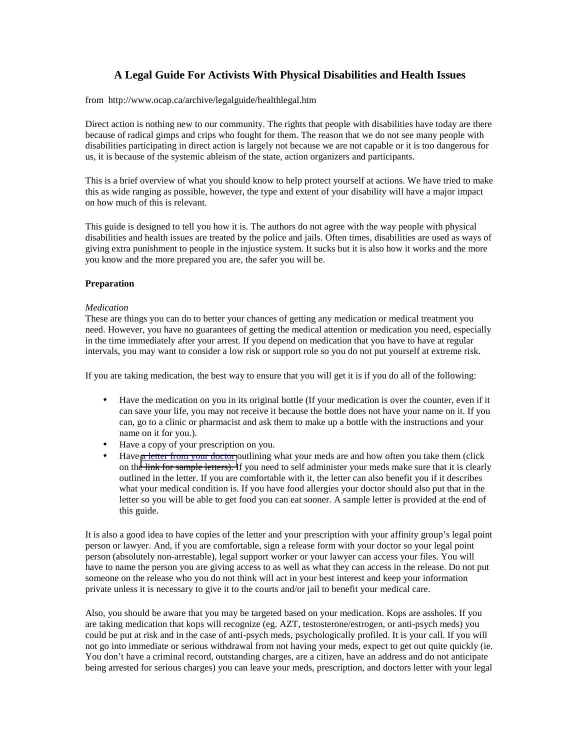# **A Legal Guide For Activists With Physical Disabilities and Health Issues**

from http://www.ocap.ca/archive/legalguide/healthlegal.htm

Direct action is nothing new to our community. The rights that people with disabilities have today are there because of radical gimps and crips who fought for them. The reason that we do not see many people with disabilities participating in direct action is largely not because we are not capable or it is too dangerous for us, it is because of the systemic ableism of the state, action organizers and participants.

This is a brief overview of what you should know to help protect yourself at actions. We have tried to make this as wide ranging as possible, however, the type and extent of your disability will have a major impact on how much of this is relevant.

This guide is designed to tell you how it is. The authors do not agree with the way people with physical disabilities and health issues are treated by the police and jails. Often times, disabilities are used as ways of giving extra punishment to people in the injustice system. It sucks but it is also how it works and the more you know and the more prepared you are, the safer you will be.

# **Preparation**

# *Medication*

These are things you can do to better your chances of getting any medication or medical treatment you need. However, you have no guarantees of getting the medical attention or medication you need, especially in the time immediately after your arrest. If you depend on medication that you have to have at regular intervals, you may want to consider a low risk or support role so you do not put yourself at extreme risk.

If you are taking medication, the best way to ensure that you will get it is if you do all of the following:

- Have the medication on you in its original bottle (If your medication is over the counter, even if it can save your life, you may not receive it because the bottle does not have your name on it. If you can, go to a clinic or pharmacist and ask them to make up a bottle with the instructions and your name on it for you.).
- Have a copy of your prescription on you.
- Have [a letter from your doctor](http://www.ocap.ca/legalguide/medletterslegal.htm) outlining what your meds are and how often you take them (click on the link for sample letters). If you need to self administer your meds make sure that it is clearly outlined in the letter. If you are comfortable with it, the letter can also benefit you if it describes what your medical condition is. If you have food allergies your doctor should also put that in the letter so you will be able to get food you can eat sooner. A sample letter is provided at the end of this guide.

It is also a good idea to have copies of the letter and your prescription with your affinity group's legal point person or lawyer. And, if you are comfortable, sign a release form with your doctor so your legal point person (absolutely non-arrestable), legal support worker or your lawyer can access your files. You will have to name the person you are giving access to as well as what they can access in the release. Do not put someone on the release who you do not think will act in your best interest and keep your information private unless it is necessary to give it to the courts and/or jail to benefit your medical care.

Also, you should be aware that you may be targeted based on your medication. Kops are assholes. If you are taking medication that kops will recognize (eg. AZT, testosterone/estrogen, or anti-psych meds) you could be put at risk and in the case of anti-psych meds, psychologically profiled. It is your call. If you will not go into immediate or serious withdrawal from not having your meds, expect to get out quite quickly (ie. You don't have a criminal record, outstanding charges, are a citizen, have an address and do not anticipate being arrested for serious charges) you can leave your meds, prescription, and doctors letter with your legal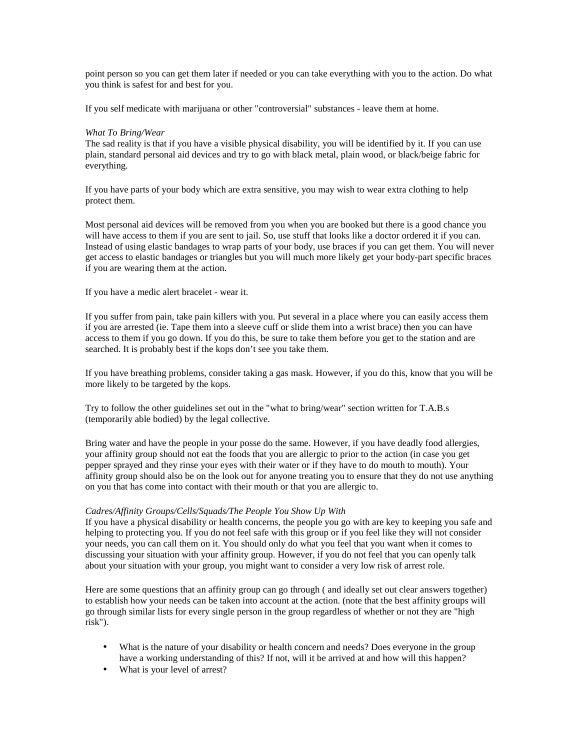point person so you can get them later if needed or you can take everything with you to the action. Do what you think is safest for and best for you.

If you self medicate with marijuana or other "controversial" substances - leave them at home.

## *What To Bring/Wear*

The sad reality is that if you have a visible physical disability, you will be identified by it. If you can use plain, standard personal aid devices and try to go with black metal, plain wood, or black/beige fabric for everything.

If you have parts of your body which are extra sensitive, you may wish to wear extra clothing to help protect them.

Most personal aid devices will be removed from you when you are booked but there is a good chance you will have access to them if you are sent to jail. So, use stuff that looks like a doctor ordered it if you can. Instead of using elastic bandages to wrap parts of your body, use braces if you can get them. You will never get access to elastic bandages or triangles but you will much more likely get your body-part specific braces if you are wearing them at the action.

If you have a medic alert bracelet - wear it.

If you suffer from pain, take pain killers with you. Put several in a place where you can easily access them if you are arrested (ie. Tape them into a sleeve cuff or slide them into a wrist brace) then you can have access to them if you go down. If you do this, be sure to take them before you get to the station and are searched. It is probably best if the kops don't see you take them.

If you have breathing problems, consider taking a gas mask. However, if you do this, know that you will be more likely to be targeted by the kops.

Try to follow the other guidelines set out in the "what to bring/wear" section written for T.A.B.s (temporarily able bodied) by the legal collective.

Bring water and have the people in your posse do the same. However, if you have deadly food allergies, your affinity group should not eat the foods that you are allergic to prior to the action (in case you get pepper sprayed and they rinse your eyes with their water or if they have to do mouth to mouth). Your affinity group should also be on the look out for anyone treating you to ensure that they do not use anything on you that has come into contact with their mouth or that you are allergic to.

## *Cadres/Affinity Groups/Cells/Squads/The People You Show Up With*

If you have a physical disability or health concerns, the people you go with are key to keeping you safe and helping to protecting you. If you do not feel safe with this group or if you feel like they will not consider your needs, you can call them on it. You should only do what you feel that you want when it comes to discussing your situation with your affinity group. However, if you do not feel that you can openly talk about your situation with your group, you might want to consider a very low risk of arrest role.

Here are some questions that an affinity group can go through ( and ideally set out clear answers together) to establish how your needs can be taken into account at the action. (note that the best affinity groups will go through similar lists for every single person in the group regardless of whether or not they are "high risk").

- What is the nature of your disability or health concern and needs? Does everyone in the group have a working understanding of this? If not, will it be arrived at and how will this happen?
- What is your level of arrest?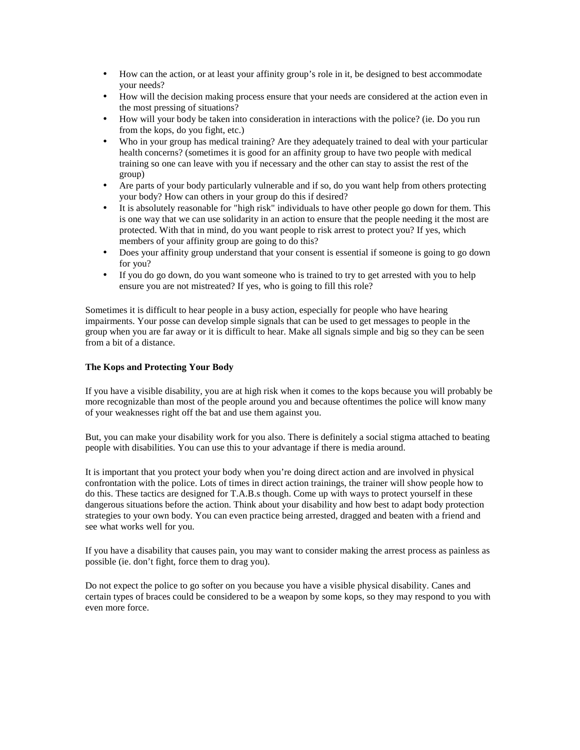- How can the action, or at least your affinity group's role in it, be designed to best accommodate your needs?
- How will the decision making process ensure that your needs are considered at the action even in the most pressing of situations?
- How will your body be taken into consideration in interactions with the police? (ie. Do you run from the kops, do you fight, etc.)
- Who in your group has medical training? Are they adequately trained to deal with your particular health concerns? (sometimes it is good for an affinity group to have two people with medical training so one can leave with you if necessary and the other can stay to assist the rest of the group)
- Are parts of your body particularly vulnerable and if so, do you want help from others protecting your body? How can others in your group do this if desired?
- It is absolutely reasonable for "high risk" individuals to have other people go down for them. This is one way that we can use solidarity in an action to ensure that the people needing it the most are protected. With that in mind, do you want people to risk arrest to protect you? If yes, which members of your affinity group are going to do this?
- Does your affinity group understand that your consent is essential if someone is going to go down for you?
- If you do go down, do you want someone who is trained to try to get arrested with you to help ensure you are not mistreated? If yes, who is going to fill this role?

Sometimes it is difficult to hear people in a busy action, especially for people who have hearing impairments. Your posse can develop simple signals that can be used to get messages to people in the group when you are far away or it is difficult to hear. Make all signals simple and big so they can be seen from a bit of a distance.

# **The Kops and Protecting Your Body**

If you have a visible disability, you are at high risk when it comes to the kops because you will probably be more recognizable than most of the people around you and because oftentimes the police will know many of your weaknesses right off the bat and use them against you.

But, you can make your disability work for you also. There is definitely a social stigma attached to beating people with disabilities. You can use this to your advantage if there is media around.

It is important that you protect your body when you're doing direct action and are involved in physical confrontation with the police. Lots of times in direct action trainings, the trainer will show people how to do this. These tactics are designed for T.A.B.s though. Come up with ways to protect yourself in these dangerous situations before the action. Think about your disability and how best to adapt body protection strategies to your own body. You can even practice being arrested, dragged and beaten with a friend and see what works well for you.

If you have a disability that causes pain, you may want to consider making the arrest process as painless as possible (ie. don't fight, force them to drag you).

Do not expect the police to go softer on you because you have a visible physical disability. Canes and certain types of braces could be considered to be a weapon by some kops, so they may respond to you with even more force.